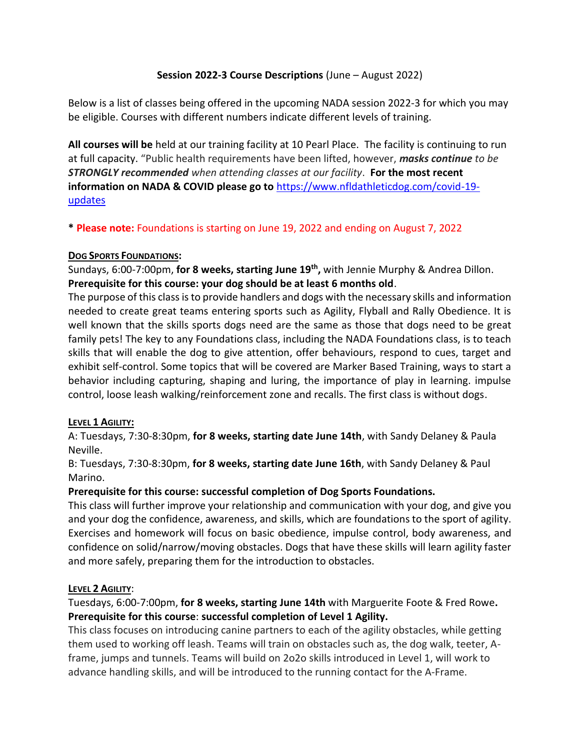### **Session 2022-3 Course Descriptions** (June – August 2022)

Below is a list of classes being offered in the upcoming NADA session 2022-3 for which you may be eligible. Courses with different numbers indicate different levels of training.

**All courses will be** held at our training facility at 10 Pearl Place. The facility is continuing to run at full capacity. "Public health requirements have been lifted, however, *masks continue to be STRONGLY recommended when attending classes at our facility*. **For the most recent information on NADA & COVID please go to** [https://www.nfldathleticdog.com/covid-19](https://www.nfldathleticdog.com/covid-19-updates) [updates](https://www.nfldathleticdog.com/covid-19-updates)

**\* Please note:** Foundations is starting on June 19, 2022 and ending on August 7, 2022

#### **DOG SPORTS FOUNDATIONS:**

Sundays, 6:00-7:00pm, **for 8 weeks, starting June 19th ,** with Jennie Murphy & Andrea Dillon. **Prerequisite for this course: your dog should be at least 6 months old**.

The purpose of this class is to provide handlers and dogs with the necessary skills and information needed to create great teams entering sports such as Agility, Flyball and Rally Obedience. It is well known that the skills sports dogs need are the same as those that dogs need to be great family pets! The key to any Foundations class, including the NADA Foundations class, is to teach skills that will enable the dog to give attention, offer behaviours, respond to cues, target and exhibit self-control. Some topics that will be covered are Marker Based Training, ways to start a behavior including capturing, shaping and luring, the importance of play in learning. impulse control, loose leash walking/reinforcement zone and recalls. The first class is without dogs.

# **LEVEL 1 AGILITY:**

A: Tuesdays, 7:30-8:30pm, **for 8 weeks, starting date June 14th**, with Sandy Delaney & Paula Neville.

B: Tuesdays, 7:30-8:30pm, **for 8 weeks, starting date June 16th**, with Sandy Delaney & Paul Marino.

#### **Prerequisite for this course: successful completion of Dog Sports Foundations.**

This class will further improve your relationship and communication with your dog, and give you and your dog the confidence, awareness, and skills, which are foundations to the sport of agility. Exercises and homework will focus on basic obedience, impulse control, body awareness, and confidence on solid/narrow/moving obstacles. Dogs that have these skills will learn agility faster and more safely, preparing them for the introduction to obstacles.

#### **LEVEL 2 AGILITY**:

Tuesdays, 6:00-7:00pm, **for 8 weeks, starting June 14th** with Marguerite Foote & Fred Rowe**. Prerequisite for this course**: **successful completion of Level 1 Agility.**

This class focuses on introducing canine partners to each of the agility obstacles, while getting them used to working off leash. Teams will train on obstacles such as, the dog walk, teeter, Aframe, jumps and tunnels. Teams will build on 2o2o skills introduced in Level 1, will work to advance handling skills, and will be introduced to the running contact for the A-Frame.